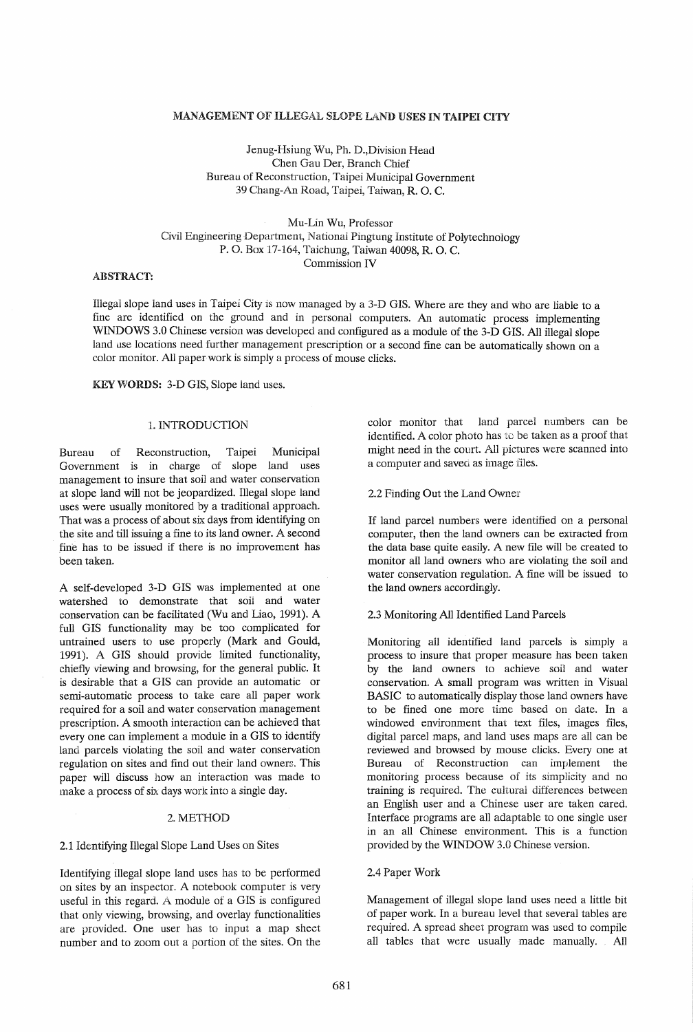#### MANAGEMENT OF ILLEGAL SLOPE LAND USES IN TAIPEI CITY

Jenug-Hsiung Wu, Ph. D.,Division Head Chen Gau Der, Branch Chief Bureau of Reconstruction, Taipei Municipal Government 39 Chang-An Road, Taipei, Taiwan, R. O. C.

Mu-Lin Wu, Professor Civil Engineering Department, National Pingtung Institute of Polytechnology P. O. Box 17-164, Taichung, Taiwan 40098, R. O. C. Commission IV

# ABSTRACT:

Illegal slope land uses in Taipei City is now managed by a 3-D GIS. Where are they and who are liable to a fine are identified on the ground and in personal computers. An automatic process implementing WINDOWS 3.0 Chinese version was developed and configured as a module of the 3-D GIS. All illegal slope land use locations need further management prescription or a second fine can be automatically shown on a color monitor. All paperwork is simply a process of mouse clicks.

KEYWORDS: 3-D GIS, Slope land uses.

## 1. INTRODUCTION

Bureau of Reconstruction, Taipei Municipal Government is in charge of slope land uses management to insure that soil and water conservation at slope land will not be jeopardized. lllegal slope land uses were usually monitored by a traditional approach. That was a process of about six days from identifying on the site and till issuing a fine to its land owner. A second fine has to be issued if there is no improvement has been taken.

A self-developed 3-D GIS was implemented at one watershed to demonstrate that soil and water conservation can be facilitated (Wu and Liao, 1991). A full GIS functionality may be too complicated for untrained users to use properly (Mark and Gould, 1991). A GIS should provide limited functionality, chiefly viewing and browsing, for the general public. It is desirable that a GIS can provide an automatic or semi-automatic process to take care all paper work required for a soil and water conservation management prescription. A smooth interaction can be achieved that every one can implement a module in a GIS to identify land parcels violating the soil and water conservation regulation on sites and find out their land owners. This paper will discuss how an interaction was made to make a process of six days work into a single day.

### 2. METHOD

#### 2.1 Identifying Illegal Slope Land Uses on Sites

Identifying illegal slope land uses has to be performed on sites by an inspector. A notebook computer is very useful in this regard. A module of a GIS is configured that only viewing, browsing, and overlay functionalities are provided. One user has to input a map sheet number and to zoom out a portion of the sites. On the color monitor that land parcel numbers can be identified. A color photo has to be taken as a proof that might need in the court. All pictures were scanned into a computer and saved as image files.

2.2 Finding Out the Land Owner

If land parcel numbers were identified on a personal computer, then the land owners can be extracted from the data base quite easily. A new file will be created to monitor all land owners who are violating the soil and water conservation regulation. A fine will be issued to the land owners accordingly.

### 2.3 Monitoring All Identified Land Parcels

Monitoring all identified land parcels is simply a process to insure that proper measure has been taken by the land owners to achieve soil and water conservation. A small program was written in Visual BASIC to automatically display those land owners have to be fined one more time based on date. In a windowed environment that text files, images files, digital parcel maps, and land uses maps are all can be reviewed and browsed by mouse clicks. Every one at Bureau of Reconstruction can implement the monitoring process because of its simplicity and no training is required. The cultural differences between an English user and a Chinese user are taken cared. Interface programs are all adaptable to one single user in an all Chinese environment. This is a function provided by the WINDOW 3.0 Chinese version.

#### 2.4 Paper Work

Management of illegal slope land uses need a little bit of paper work. In a bureau level that several tables are required. A spread sheet program was used to compile all tables that were usually made manually. All